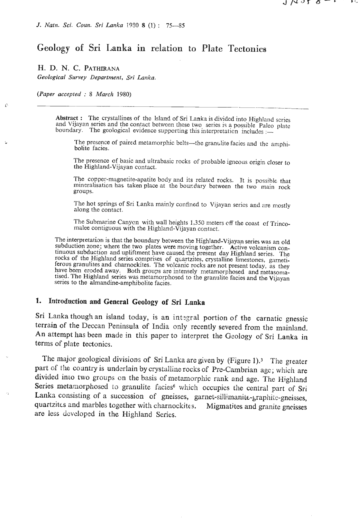# **Geology of** Sri **Lanlaa in relation to Plate Tectonics**

## **H.** D. N. *C.* **PATHIRANA**

*Geological Survey Department, Sri Lanka.* 

*(Paper accepted* : <sup>8</sup>*March 1980)* 

Ê

Abstract : The crystallines of the lsland of Sri **Lanka** is divided into Highland series and Vijayan series and the contact between these two series **is** a possible Paleo platc boundary. The geological evidence supporting this interpretation includes :-

The presence of paired metamorphic belts-the granulite facies and the amphibolite facies.

The presence of basic and ultrabasic rocks of probable igneous origin closer to **the** Highland-Vijayan contact.

The copper-magnetite-apatite body and its related rocks. It is possible that mineralisation has taken place at the boundary between the two main rock groups.

The hot springs of Sri Lanka mainly confined to Vijayan series and are mostly along the contact.

The Submarine Canycn with wall heights 1,350 meters cff the coast of Trincomalee contiguous with the Highland-Vijayan contact.

The interpretation is that the boundary between the Highland-Vijayan series was an old subduction zone; where the two plates were moving together. Active volcanism continuous subduction and upliftment have caused the present day Highland series. The rocks of the Highland series comprises of quartzites, crystalline limestones, garneti-<br>ferous granulites and charnockites. The volcanic rocks are not present today, as they have been eroded away. Both groups are intensely metamorphosed and metasomatised. The Highland series was metamorphosed to the granulite facies and the Vijayan series to the almandine-amphibolite facies.

## 1. Introduction and General Geology of Sri Lanka

Sri Lanka though an island today, is an integral portion of the carnatic gnessic terrain of the Deccan Peninsula of India only recently severed from the mainland. An attempt has been made in this paper to interpret the Geology of Sri Lanka in terms of plate tectonics.

The major geological divisions of Sri Lanka are given by (Figure 1).<sup>3</sup> The greater part of the country is underlain by crystalline rocks of Pre-Cambrian agc; which are divided into two groups on the basis of metamorphic rank and age. The Highland Series metamorphosed to granulite facies<sup>6</sup> which occupies the central part of Sri Lanka consisting of a succession of gneisses, garnet-sillimanite-graphite-gneisses, quartzites and marbles together with charnockites. Migmatites and granite gneisses are less developed in the Highland Series.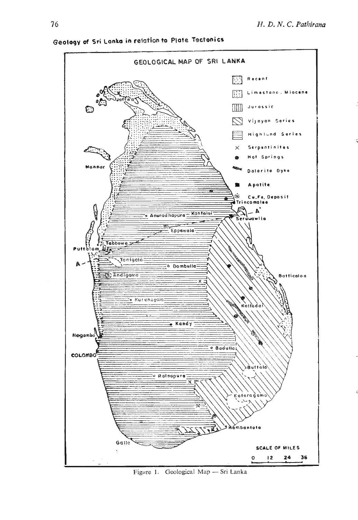

**Geoloqy of Sri Lanta in resaation to Plate Ttactonics** 

Figure 1. Geological Map - Sri Lanka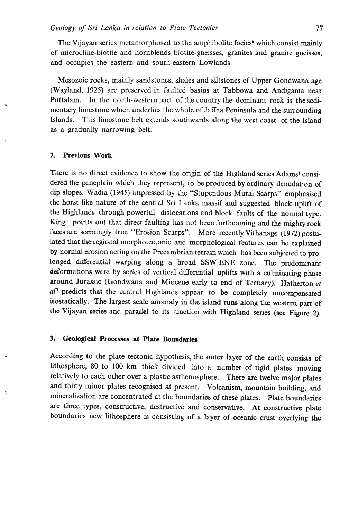The Vijayan series metamorphosed to the amphibolite facies<sup>6</sup> which consist mainly of microcline-biotite and hornblends biotite-gneisses, granites and granite gneisses, and occupies the eastern and south-eastern Lowlands.

Mesozoic rocks, mainly sandstones, shales and siltstones of Upper Gondwana age (Wayland, 1925) are preserved in faulted basins at Tabbowa and Andigama near Puttalam. In the north-western part of the country the dominant rock is the sedimentary limestone which underlies the whole of Jaffna Peninsula and the surrounding Islands. This limestone belt extends southwards along the west coast ot the Island as a gradually narrowing belt.

## **2. Previous Work**

ċ

Ŋ,

There is no direct evidence to show the origin of the Highland series Adams<sup>1</sup> considered the peneplain which they represent, to be produced by ordinary denudation of dip slopes. Wadia (1945) impressed by the "Stupendous Mural Scarps" emphasised the horst like nature of the central Sri Lanka massif and suggested block uplift of the Highlands through poweriul dislocations and block faults of the normal type. King<sup>11</sup> points out that direct faulting has not been forthcoming and the mighty rock faces are seemingly true "Erosion Scarps". More recently Vithanage (1972) postulated that the regional morphotectonic and morphological features can be explained by normal erosion acting on the Precambrian terrain which has been subjected to prolonged differential warping along a broad SSW-ENE zone. The predominant deformations were by series of vertical differential uplifts with a culminating phase around Jurassic (Gondwana and Miocene early to end of Tertiary). Hatherton *et*  al<sup>7</sup> predicts that the central Highlands appear to be completely uncompensated isostatically. The largest scale anomaly in the island **runs** along the western part of the Vijayan series and parallel to its junction with Highland series **(see** Figure 2).

## **3. Geological Processes at Plate Boundaries**

According to the plate tectonic hypothesis, the outer layer of the earth consists of lithosphere, 80 to 100 **km** thick divided into a number of rigid plates moving relatively to each other over a plastic asthenosphere. There are twelve major plates and thirty minor plates recognised at present. Volcanism, mountain building, and mineralization are concentrated at the boundaries of these plates. Plate boundaries are three types, constructive, destructive and conservative. At constructive plate boundaries new lithosphere is consisting of a layer of oceanic crust overlying the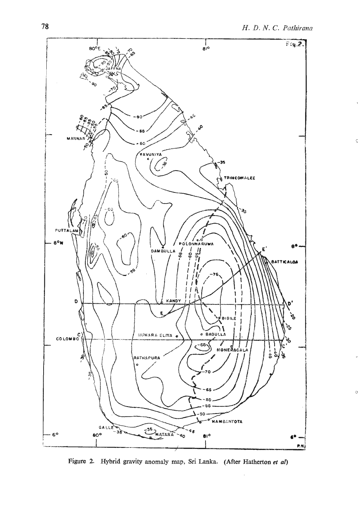

**Figure 2. Hybrid gravity anomaly map,** Sri **Lanka. (After Hatherton et** *al)*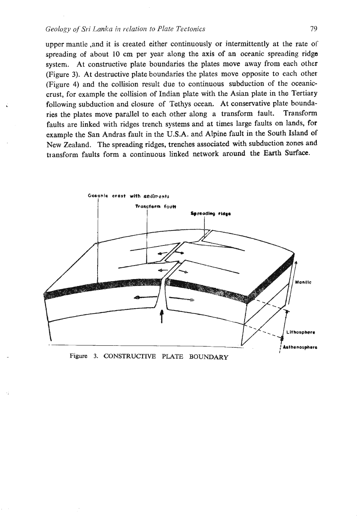## *Geology* **oj** *Sri Lanka* **in** *relatiox* **fo** *Plate Tectonics* 79

upper mantle ,and it is created either continuously or intermittently at the rate of spreading of about 10 cm per year along the axis of an oceanic spreading ridge system. At constructive plate boundaries the plates move away from each other (Figure 3). At destructive plate boundaries the plates move opposite to each other (Figure 4) and the collision result due to continuous subduction of the oceaniccrust, for example the collision of Indian plate with the Asian plate in the Tertiary following subduction and closure of Tethys ocean. At conservative plate boundaries the plates move parallel to each other along a transform fault. Transform faults are linked with ridges trench systems and at times large faults on lands, for example the San Andras fault in the U.S.A. and Alpine fault in the South Island of New Zealand. The spreading ridges, trenches associated with subduction zones and transform faults form a continuous linked network around the Earth Surface.

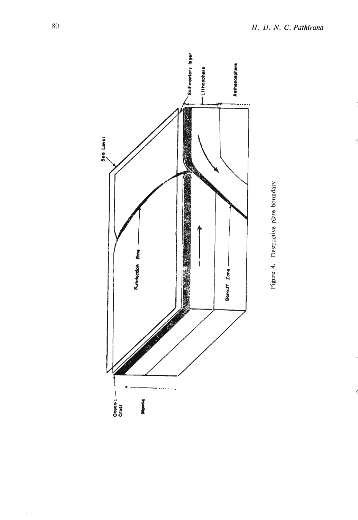



ķ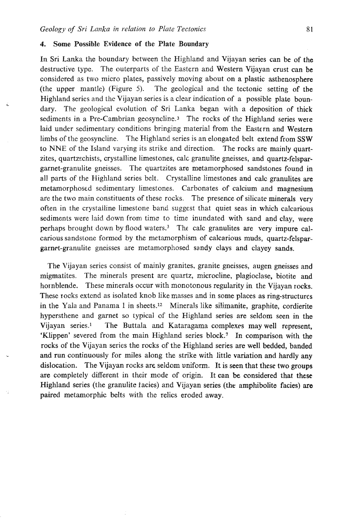## 4. Some Possible Evidence of the Plate Boundary

In Sri Lanka the boundary between the Highland and Vijayan series can be of the destructive type. The outerparts of the Eastern and Western Vijayan crust can be considered as two micro plates, passively moving about on a plastic asthenosphere (the upper mantle) (Figure **5).** The geological and the tectonic setting of the Highland series and the Vijayan series is a clear indication of a possible plate boundary. The geological evolution of Sri Lanka began with a deposition of thick sediments in a Pre-Cambrian geosyncline.<sup>3</sup> The rocks of the Highland series were laid under sedimentary conditions bringing material from the Eastern and Western limbs of the geosyncline. The Highland series is an elongated belt extend from SSW to NNE of the Island varying its strike and direction. The rocks are mainly quartzites, quartzschists, crystalline limestones, calc granulite gneisses, and quartz-felspargarnet-granulite gneisses. The quartzites are metamorphosed sandstones found in all parts of the Highland series belt. Crystalline limestones and calc granulites are metamorphosed sedimentary limestones. Carbonates of calcium and magnesium are the two main constituents of these rocks. The presence of silicate minerals very often in the crystalline limestone band suggest that quiet seas in which calcarious sediments were laid down from time to time inundated with sand and clay, were perhaps brought down by flood waters.<sup>3</sup> The calc granulites are very impure calcarious sandstone formed by the metamorphism of calcarious muds, quartz-felspargarnet-granulite gneisses are metamorphosed sandy clays and clayey sands.

The Vijayan series consist of mainly granites, granite gneisses, augen gneisses and migmatites. The minerals present are quartz, microcline, plagioclase, biotite and hornblende. These minerals occur with monotonous regularity in the Vijayan rocks. These rocks extend as isolated knob like masses and in some places as ring-structures in the Yala and Panama 1 in sheets.12 Minerals like silimanite, graphite, cordierite hypersthene and garnet so typical of the Highland series are seldom seen in the Vijayan series.' The Buttala and Kataragama complexes may well represent, 'Klippen' severed from the main Highland series block.' In comparison with the rocks of the Vijayan series the rocks of the Highland series are well bedded, banded and run continuously for miles along the strike with little variation and hardly **any**  dislocation. The Vijayan rocks are seldom uniform. It is seen that these two **groups**  are completely different in their mode of origin. It can **be** considered that these Highland series (the granulite facies) and Vijayan series (the amphibolite facies) are paired metamorphic belts with the relics eroded away.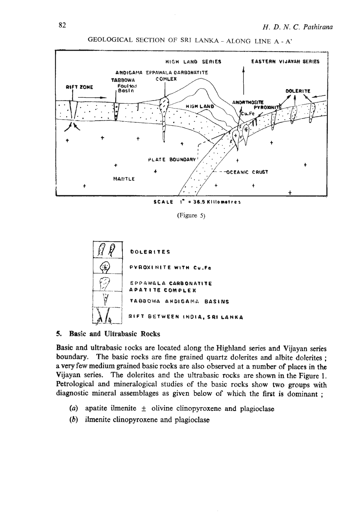

**GEOLOGICAL SECTION** OF SRI **LANKA** - **ALONG LINE A** - A'

**(Figure 5)** 



#### **5. Basic and UIfrabasic Rocks**

Basic and ultrabasic rocks are located along the Highland series and Vijayan series boundary. The basic rocks are fine grained quartz dolerites and albite dolerites; a very few medium grained basic rocks are also observed at a number of places in the Vijayan series. The dolerites and the ultrabasic rocks are shown in the Figure 1. Petrological and mineralogical studies of the basic rocks show two groups with diagnostic mineral assemblages as given below of which the first is dominant ;

- $(a)$  apatite ilmenite  $\pm$  olivine clinopyroxene and plagioclase
- (b) ilmenite clinopyroxene and piagioclase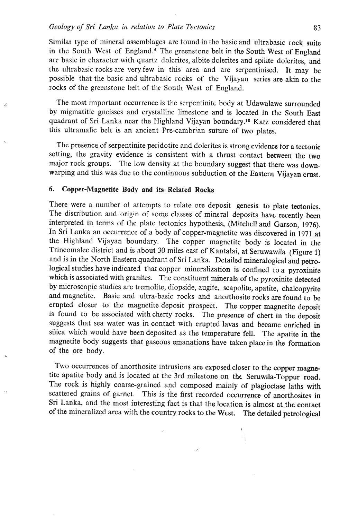#### *Geology of Sri Lanka in relation to Plate Tectonics* **83**

ý.

Similar type of mineral assemblages are iound in the basic and ultrabasic rock suite in the South West of England.<sup>4</sup> The greenstone belt in the South West of England are basic in character with quartz dolerites, albite dolerites and spilite dolentes, and the ultrabasic rocks are very few in this area and are serpentinised. Jt may be possible that the basic and ultrabasic rocks of the Vijayan series are akin to the rocks of the greenstone belt of the South West of England.

The most important occurrence is the serpentinite body at Udawalawe surrounded by migmatitic gneisses **and** crystalline limestone and is located in the South East quadrant of Sri Lanka near the Highland Vijayan boundary.1° Katz considered that this ultramafic belt is an ancient Pre-cambrian suture of two plates.

The presence of serpentinite perjdotite and dolerites is strong evidence tor a tectonic setting, the gravity evidence is consistent with a thrust contact between the two major rock groups. The low density at the boundary suggest that there was downwarping and this was due to the continuous subduction ot the Eastern Vijayan crust.

## **6.** Copper-Magnetite **Body and its** Related Rocks

There were a number of attempts to relate ore deposit genesis to plate tectonics. The distribution and origin of some classes of mineral deposits have recently been interpreted in terms of the plate tectonics hypothesis, (Mitchell and Garson, 1976). In Sri Lanka an occurrence of a body of copper-magnetite was discovered in 1971 at the Highland Vijayan boundary. The copper magnetite body is located in the Trincomalee district and is about 30 miles east of Kantalai, at Seruwawila (Figure 1) and is in the North Eastern quadrant of Sri Lanka. Detailed mineralogical and petrological studies have indicated that copper mineralization is confined to a pyroxinite which is associated with granites. The constituent minerals of the pyroxinite detected by microscopic studies are tremolite, diopside, augite, scapolite, apatite, chalcopyrite and magnetite. Basic and ultra-basic rocks and anorthosite rocks are found to be erupted closer to the magnetite deposit prospect. The copper magnetite deposit is found to be associated with cherty rocks. The presence of chert in the deposit suggests that sea water was in contact with erupted lavas and became enriched in silica which would have been deposited as the temperature fell. The apatite in the magnetite body suggests that gaseous emanations have taken place in the formation of the ore body.

Two occurrences of anorthosite intrusions are exposed closer to the copper magnetite apatite body and is located at the 3rd milestone on the Seruwila-Toppur road. The rock is highly coarse-grained and composed mainly of plagiociase laths with scattered grains of garnet. This is the first recorded occurrence of anorthosites in Sri Lanka, and the most interesting fact is that the location is almost at the contact of the mineralized area with the country rocks to tbe West. The detailed petrological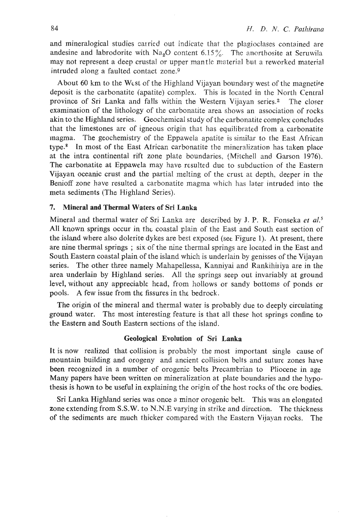and mineralogical studies carried out indicate that the plagioclases contained are andesine and labrodorite with  $Na<sub>2</sub>O$  content  $6.15\%$ . The anorthosite at Seruwila may not represent a deep crustal or upper mantle material but a reworked material intruded along a faulted contact zone.9

About  $60 \text{ km}$  to the West of the Highland Vijayan boundary west of the magnetite deposit is the carbonatite (apatite) complex. This is located in the North Central province of Sri Lanka and falls within the Western Vijayan series.2 The closer examination of the lithology of the carbonatite area shows an association of rocks akin to the Highland series. Geochemical study of the carbonatite complex concludes that the limestones arc of igneous origin that has equjlibrzted from a carbonatite magma. The geochemistry of the Eppawela apatite is similar to the East African type.8 In most of the East African carbonatite the mineralization has taken place at the intra continental rift zone plate boundaries, (Mitchell and Garson 1976). The carbonatite at Eppawela may have resulted due to subduction of the Eastern Vijayan oceanic crust and the partial melting of the crust at depth, deeper in the Benioff zone have resulted a carbonatite magma which has later intruded into the meta sediments (The Highland Series).

## **7. Mineral and Thermal Waters of** Sri **Lanka**

Mineral and thermal water of Sri Lanka are described by J. P. R. Fonseka *et aL5*  All known springs occur in tht coastal plain of the East and South east section of the island where also dolerite dykes are best exposed (set Figure 1). At present, there are nine thermal springs; six of the nine thermal springs are located in the East and South Eastern coastal plain of the island whch is underlain by genisses of the Vijayan series. The other three namely Mahapellessa, Kanniyai and Rankihiliya are in the area underlain by Highland series. All the springs seep out invariably at ground level, without any appreciable head, from hollows or sandy bottoms of ponds or pools. A few issue from the fissures in the bedrock.

The origin of the mineral and thermal water is probably due to deeply circulating ground water. Thc most interesting feature is that all these hot springs confine to the Eastern and South Eastern sections of the island.

#### **Geological Evolution of** Sri **Lanka**

It is now realized that collision is probably the most important single cause of mountain building and orogeny and ancient collision belts and suture zones have been recognized in a number of orogenic belts Precambrian to Pliocene in age Many papers have been written on mineralization at plate boundaries and the hypothesis is hown to be useful in explaining the origin of the host rocks of the ore bodies.

Sri Lanka Highland series was once a minor orogenic belt. This was an elongated zone extending from S.S.W. to N.N.E varying in strike and direction. The thickness of the sediments are much thicker compared with the Eastern Vijayan rocks. The